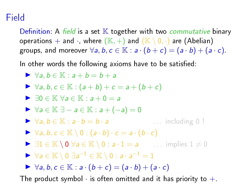## Field

Definition: A field is a set  $K$  together with two *commutative* binary operations  $+$  and  $\cdot$ , where  $(\mathbb{K}, +)$  and  $(\mathbb{K} \setminus 0, \cdot)$  are (Abelian) groups, and moreover  $\forall a, b, c \in \mathbb{K} : a \cdot (b+c) = (a \cdot b) + (a \cdot c)$ .

In other words the following axioms have to be satisfied:

 $\triangleright \forall a, b \in \mathbb{K} : a + b = b + a$  $\triangleright$   $\forall a, b, c \in \mathbb{K} : (a + b) + c = a + (b + c)$  $\blacktriangleright$   $\exists 0 \in \mathbb{K}$   $\forall a \in \mathbb{K} : a + 0 = a$  $\triangleright \forall a \in \mathbb{K} \exists - a \in \mathbb{K} : a + (-a) = 0$  $\triangleright \forall a, b \in \mathbb{K} : a \cdot b = b \cdot a$  ... including 0 !  $\triangleright$   $\forall a, b, c \in \mathbb{K} \setminus 0 : (a \cdot b) \cdot c = a \cdot (b \cdot c)$  $\triangleright$   $\exists 1 \in \mathbb{K} \setminus 0 \ \forall a \in \mathbb{K} \setminus 0 : a \cdot 1 = a$  ... implies  $1 \neq 0$  $\triangleright \forall a \in \mathbb{K} \setminus 0 \exists a^{-1} \in \mathbb{K} \setminus 0 : a \cdot a^{-1} = 1$  $\triangleright$   $\forall a, b, c \in \mathbb{K} : a \cdot (b+c) = (a \cdot b) + (a \cdot c)$ The product symbol  $\cdot$  is often omitted and it has priority to  $+$ .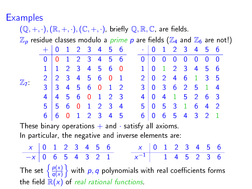**Examples** 

#### $(\mathbb{Q}, +, \cdot), (\mathbb{R}, +, \cdot), (\mathbb{C}, +, \cdot)$ , briefly  $\mathbb{Q}, \mathbb{R}, \mathbb{C}$ , are fields.  $\mathbb{Z}_p$  residue classes modulo a *prime p* are fields ( $\mathbb{Z}_4$  and  $\mathbb{Z}_6$  are not!)  $\mathbb{Z}_7$ : + 0 1 2 3 4 5 6 0 0 1 2 3 4 5 6 1 1 2 3 4 5 6 0 2 2 3 4 5 6 0 1 3 3 4 5 6 0 1 2 4 4 5 6 0 1 2 3 5 5 6 0 1 2 3 4 6 6 0 1 2 3 4 5  $\cdot$  0 1 2 3 4 5 6  $\begin{array}{|c|ccccccccccccccc|}\hline 0 & 0 & 0 & 0 & 0 & 0 & 0 & 0 \\ \hline 1 & 0 & 1 & 2 & 3 & 4 & 5 & 6 \\\hline \end{array}$ 1 0 1 2 3 4 5 6 2 0 2 4 6 1 3 5 3 0 3 6 2 5 1 4 4 0 4 1 5 2 6 3 5 0 5 3 1 6 4 2 6 0 6 5 4 3 2 1 These binary operations  $+$  and  $\cdot$  satisfy all axioms. In particular, the negative and inverse elements are:  $x \begin{array}{|ccc|} 0 & 1 & 2 & 3 & 4 & 5 & 6 \end{array}$  $-x$  0 6 5 4 3 2 1  $x \begin{array}{|ccc|} 0 & 1 & 2 & 3 & 4 & 5 & 6 \end{array}$  $x^{-1}$  1 4 5 2 3 6 The set  $\left\{\frac{p(x)}{q(x)}\right\}$

 $\left\{\frac{\rho(x)}{q(x)}\right\}$  with  $p,q$  polynomials with real coefficients forms the field  $\mathbb{R}(x)$  of real rational functions.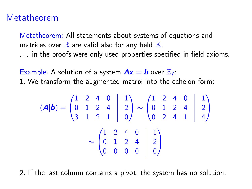### Metatheorem

Metatheorem: All statements about systems of equations and matrices over  $\mathbb R$  are valid also for any field  $\mathbb K$ .  $\ldots$  in the proofs were only used properties specified in field axioms.

Example: A solution of a system  $Ax = b$  over  $\mathbb{Z}_7$ .

1. We transform the augmented matrix into the echelon form:

$$
(\mathbf{A}|\mathbf{b}) = \begin{pmatrix} 1 & 2 & 4 & 0 & 1 \\ 0 & 1 & 2 & 4 & 2 \\ 3 & 1 & 2 & 1 & 0 \end{pmatrix} \sim \begin{pmatrix} 1 & 2 & 4 & 0 & 1 \\ 0 & 1 & 2 & 4 & 2 \\ 0 & 2 & 4 & 1 & 4 \end{pmatrix}
$$

$$
\sim \begin{pmatrix} 1 & 2 & 4 & 0 & 1 \\ 0 & 1 & 2 & 4 & 2 \\ 0 & 0 & 0 & 0 & 0 \end{pmatrix}
$$

2. If the last column contains a pivot, the system has no solution.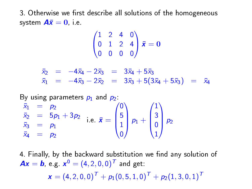3. Otherwise we first describe all solutions of the homogeneous system  $A\bar{x}=0$ , i.e.

$$
\begin{pmatrix} 1 & 2 & 4 & 0 \\ 0 & 1 & 2 & 4 \\ 0 & 0 & 0 & 0 \end{pmatrix} \bar{\mathbf{x}} = \mathbf{0}
$$

 $\bar{x}_2 = -4\bar{x}_4 - 2\bar{x}_3 = 3\bar{x}_4 + 5\bar{x}_3$  $\bar{x}_1$  =  $-4\bar{x}_3 - 2\bar{x}_2$  =  $3\bar{x}_3 + 5(3\bar{x}_4 + 5\bar{x}_3)$  =  $\bar{x}_4$ 

By using parameters  $p_1$  and  $p_2$ .  $\bar{x}_1$  =  $p_2$  $\bar{x}_2 = 5p_1 + 3p_2$  $\bar{x}_3 = p_1$  $\bar{x}_4 = p_2$ i.e.  $\bar{\mathbf{x}} =$  $\sqrt{ }$  $\overline{\phantom{a}}$ 0 5 1 0  $\setminus$  $\int p_1 +$  $\sqrt{ }$  $\overline{\phantom{a}}$ 1 3 0 1  $\setminus$  $\bigg|$   $P_2$ 

4. Finally, by the backward substitution we find any solution of  $\bm{A}\bm{x} = \bm{b}$ , e.g.  $\bm{x}^0 = (4, 2, 0, 0)^{\bm{T}}$  and get:  $\bm{x} = (4, 2, 0, 0)^{\bm{\mathsf{T}}} + p_1(0, 5, 1, 0)^{\bm{\mathsf{T}}} + p_2(1, 3, 0, 1)^{\bm{\mathsf{T}}}$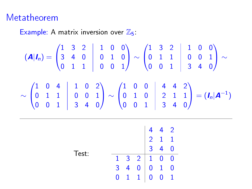# Metatheorem

Example: A matrix inversion over  $\mathbb{Z}_5$ :

$$
(\mathbf{A}|\mathbf{I}_n) = \begin{pmatrix} 1 & 3 & 2 & 1 & 0 & 0 \\ 3 & 4 & 0 & 0 & 1 & 0 \\ 0 & 1 & 1 & 0 & 0 & 1 \end{pmatrix} \sim \begin{pmatrix} 1 & 3 & 2 & 1 & 0 & 0 \\ 0 & 1 & 1 & 0 & 0 & 1 \\ 0 & 0 & 1 & 3 & 4 & 0 \end{pmatrix} \sim \begin{pmatrix} 1 & 0 & 2 & 0 & 1 \\ 0 & 0 & 1 & 0 & 0 \\ 0 & 0 & 0 & 1 & 3 \end{pmatrix}
$$

$$
\sim \begin{pmatrix} 1 & 0 & 4 & 1 & 0 & 2 \\ 0 & 1 & 1 & 0 & 0 & 1 \\ 0 & 0 & 1 & 3 & 4 & 0 \end{pmatrix} \sim \begin{pmatrix} 1 & 0 & 0 & 4 & 4 & 2 \\ 0 & 1 & 0 & 2 & 1 & 1 \\ 0 & 0 & 1 & 3 & 4 & 0 \end{pmatrix} = (\mathbf{I}_n|\mathbf{A}^{-1})
$$

|       |                |                                                                                                 | $\overline{2}$ | $\begin{array}{cc} 4 & 2 \\ 1 & 1 \\ 4 & 0 \end{array}$ |  |
|-------|----------------|-------------------------------------------------------------------------------------------------|----------------|---------------------------------------------------------|--|
| Test: |                |                                                                                                 |                |                                                         |  |
|       | $\mathbf{1}$   | $\begin{array}{c cccc} 3 & 2 & 1 & 0 & 0 \\ 4 & 0 & 0 & 1 & 0 \\ 1 & 1 & 0 & 0 & 1 \end{array}$ |                |                                                         |  |
|       | $\frac{1}{3}$  |                                                                                                 |                |                                                         |  |
|       | $\overline{0}$ |                                                                                                 |                |                                                         |  |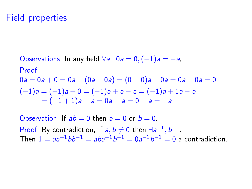## Field properties

Observations: In any field  $\forall a : 0a = 0, (-1)a = -a$ , Proof:  $0a = 0a + 0 = 0a + (0a - 0a) = (0 + 0)a - 0a = 0a - 0a = 0$  $(-1)a = (-1)a + 0 = (-1)a + a - a = (-1)a + 1a - a$  $= (-1 + 1)a - a = 0a - a = 0 - a = -a$ 

Observation: If  $ab = 0$  then  $a = 0$  or  $b = 0$ . Proof: By contradiction, if  $a, b \neq 0$  then  $\exists a^{-1}, b^{-1}$ . Then  $1 = aa^{-1}bb^{-1} = aba^{-1}b^{-1} = 0a^{-1}b^{-1} = 0$  a contradiction.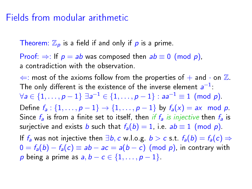#### Fields from modular arithmetic

Theorem:  $\mathbb{Z}_p$  is a field if and only if p is a prime.

Proof:  $\Rightarrow$ : If  $p = ab$  was composed then  $ab \equiv 0 \pmod{p}$ . a contradiction with the observation.

 $\Leftarrow$ : most of the axioms follow from the properties of  $+$  and  $\cdot$  on  $\mathbb{Z}$ . The only different is the existence of the inverse element  $\mathsf{a}^{-1}$ :  $\forall a \in \{1, ..., p-1\} \; \exists a^{-1} \in \{1, ..., p-1\} : aa^{-1} \equiv 1 \pmod{p}$ . Define  $f_a: \{1, ..., p-1\} \to \{1, ..., p-1\}$  by  $f_a(x) = ax \mod p$ . Since  $f_a$  is from a finite set to itself, then if  $f_a$  is injective then  $f_a$  is surjective and exists b such that  $f_a(b) = 1$ , i.e.  $ab \equiv 1 \pmod{p}$ . If  $f_a$  was not injective then  $\exists b, c \le b > c \le t$ .  $f_a(b) = f_a(c) \Rightarrow$  $0 = f_a(b) - f_a(c) \equiv ab - ac = a(b - c) \pmod{p}$ , in contrary with p being a prime as  $a, b - c \in \{1, \ldots, p - 1\}$ .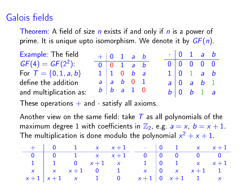# Galois fields

Theorem: A field of size  $n$  exists if and only if  $n$  is a power of prime. It is unique upto isomorphism. We denote it by  $GF(n)$ .

| Example: The field       | $+ 0 1 a b$                         |  |  |  | $\cdot$ 0 1 a b                                 |  |
|--------------------------|-------------------------------------|--|--|--|-------------------------------------------------|--|
| $GF(4) = GF(2^2)$        | $0 \vert 0 \vert 1$ a b             |  |  |  | 0   0 0 0 0                                     |  |
| For $T = \{0, 1, a, b\}$ | $1 \vert 1 \vert 0 \vert b \vert a$ |  |  |  | $1 \vert 0 \vert 1 \vert a \vert b$             |  |
| define the addition      | $a \mid a \mid b \mid 0 \mid 1$     |  |  |  | $a \mid 0$ a b 1                                |  |
| and multiplication as:   | $b \mid b$ a 1 0                    |  |  |  | $b \begin{vmatrix} 0 & b & 1 & a \end{vmatrix}$ |  |

These operations  $+$  and  $\cdot$  satisfy all axioms.

Another view on the same field: take  $T$  as all polynomials of the maximum degree 1 with coefficients in  $\mathbb{Z}_2$ , e.g.  $a = x$ ,  $b = x + 1$ . The multiplication is done modulo the polynomial  $x^2 + x + 1$ .

|  |  | $+$ 0 1 x x + 1 \cdot 0 1 x x + 1                                               |  |  |
|--|--|---------------------------------------------------------------------------------|--|--|
|  |  | $\begin{array}{c ccccccccc}\n0 & 0 & 1 & x & x+1 & 0 & 0 & 0 & 0\n\end{array}$  |  |  |
|  |  | 1 1 0 $x+1$ x 1 0 1 x $x+1$                                                     |  |  |
|  |  | $x \mid x \times x+1 \quad 0 \quad 1 \quad x \mid 0 \quad x \times x+1 \quad 1$ |  |  |
|  |  | $x+1$ $x+1$ x 1 0 $x+1$ 0 $x+1$ 1 x                                             |  |  |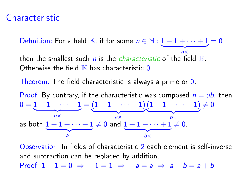## Characteristic

Definition: For a field K, if for some  $n \in \mathbb{N} : 1 + 1 + \cdots + 1 = 0$  $\overline{\phantom{a}}$   $\overline{\phantom{a}}$   $\overline{\phantom{a}}$   $\overline{\phantom{a}}$   $\overline{\phantom{a}}$   $\overline{\phantom{a}}$   $\overline{\phantom{a}}$   $\overline{\phantom{a}}$   $\overline{\phantom{a}}$   $\overline{\phantom{a}}$   $\overline{\phantom{a}}$   $\overline{\phantom{a}}$   $\overline{\phantom{a}}$   $\overline{\phantom{a}}$   $\overline{\phantom{a}}$   $\overline{\phantom{a}}$   $\overline{\phantom{a}}$   $\overline{\phantom{a}}$   $\overline{\$ n× then the smallest such  $n$  is the *characteristic* of the field  $\mathbb{K}$ .

Otherwise the field  $\mathbb K$  has characteristic  $0$ .

Theorem: The field characteristic is always a prime or  $\theta$ .

Proof: By contrary, if the characteristic was composed  $n = ab$ , then  $0 = 1 + 1 + \cdots + 1$  $\overline{\phantom{a}}$   $\overline{\phantom{a}}$   $\overline{\phantom{a}}$   $\overline{\phantom{a}}$   $\overline{\phantom{a}}$   $\overline{\phantom{a}}$   $\overline{\phantom{a}}$   $\overline{\phantom{a}}$   $\overline{\phantom{a}}$   $\overline{\phantom{a}}$   $\overline{\phantom{a}}$   $\overline{\phantom{a}}$   $\overline{\phantom{a}}$   $\overline{\phantom{a}}$   $\overline{\phantom{a}}$   $\overline{\phantom{a}}$   $\overline{\phantom{a}}$   $\overline{\phantom{a}}$   $\overline{\$ n×  $=(1+1+\cdots+1)$  $\overline{a} \times$ a×  $(1+1+\cdots+1)$  ${b \times}$ b×  $\neq$  0 as both  $1 + 1 + \cdots + 1 \neq 0$  and  $1 + 1 + \cdots + 1 \neq 0$ .  $\overline{a} \times$ a×  ${b \times}$ 

 $Observeation: In fields of characteristic 2 each element is self-inverse.$ and subtraction can be replaced by addition.

Proof:  $1+1=0$   $\Rightarrow$   $-1=1$   $\Rightarrow$   $-a=a$   $\Rightarrow$   $a-b=a+b$ .